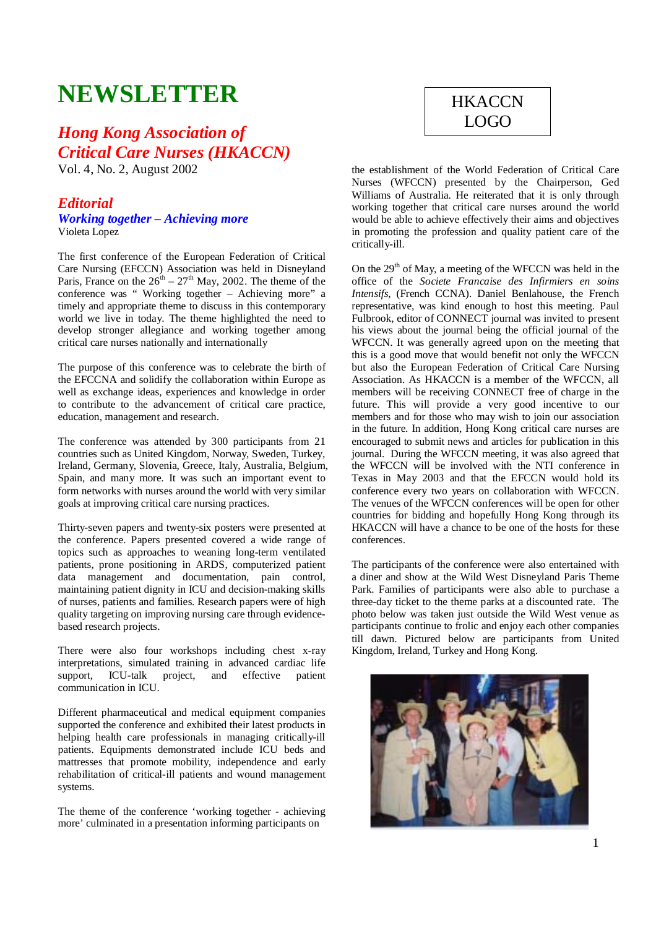# **NEWSLETTER**

## *Hong Kong Association of Critical Care Nurses (HKACCN)*

Vol. 4, No. 2, August 2002

## *Editorial*

## *Working together – Achieving more*  Violeta Lopez

The first conference of the European Federation of Critical Care Nursing (EFCCN) Association was held in Disneyland Paris, France on the  $26<sup>th</sup> - 27<sup>th</sup>$  May, 2002. The theme of the conference was " Working together – Achieving more" a timely and appropriate theme to discuss in this contemporary world we live in today. The theme highlighted the need to develop stronger allegiance and working together among critical care nurses nationally and internationally

The purpose of this conference was to celebrate the birth of the EFCCNA and solidify the collaboration within Europe as well as exchange ideas, experiences and knowledge in order to contribute to the advancement of critical care practice, education, management and research.

The conference was attended by 300 participants from 21 countries such as United Kingdom, Norway, Sweden, Turkey, Ireland, Germany, Slovenia, Greece, Italy, Australia, Belgium, Spain, and many more. It was such an important event to form networks with nurses around the world with very similar goals at improving critical care nursing practices.

Thirty-seven papers and twenty-six posters were presented at the conference. Papers presented covered a wide range of topics such as approaches to weaning long-term ventilated patients, prone positioning in ARDS, computerized patient data management and documentation, pain control, maintaining patient dignity in ICU and decision-making skills of nurses, patients and families. Research papers were of high quality targeting on improving nursing care through evidencebased research projects.

There were also four workshops including chest x-ray interpretations, simulated training in advanced cardiac life support, ICU-talk project, and effective patient communication in ICU.

Different pharmaceutical and medical equipment companies supported the conference and exhibited their latest products in helping health care professionals in managing critically-ill patients. Equipments demonstrated include ICU beds and mattresses that promote mobility, independence and early rehabilitation of critical-ill patients and wound management systems.

The theme of the conference 'working together - achieving more' culminated in a presentation informing participants on

## **HKACCN** LOGO

the establishment of the World Federation of Critical Care Nurses (WFCCN) presented by the Chairperson, Ged Williams of Australia. He reiterated that it is only through working together that critical care nurses around the world would be able to achieve effectively their aims and objectives in promoting the profession and quality patient care of the critically-ill.

On the  $29<sup>th</sup>$  of May, a meeting of the WFCCN was held in the office of the *Societe Francaise des Infirmiers en soins Intensifs*, (French CCNA). Daniel Benlahouse, the French representative, was kind enough to host this meeting. Paul Fulbrook, editor of CONNECT journal was invited to present his views about the journal being the official journal of the WFCCN. It was generally agreed upon on the meeting that this is a good move that would benefit not only the WFCCN but also the European Federation of Critical Care Nursing Association. As HKACCN is a member of the WFCCN, all members will be receiving CONNECT free of charge in the future. This will provide a very good incentive to our members and for those who may wish to join our association in the future. In addition, Hong Kong critical care nurses are encouraged to submit news and articles for publication in this journal. During the WFCCN meeting, it was also agreed that the WFCCN will be involved with the NTI conference in Texas in May 2003 and that the EFCCN would hold its conference every two years on collaboration with WFCCN. The venues of the WFCCN conferences will be open for other countries for bidding and hopefully Hong Kong through its HKACCN will have a chance to be one of the hosts for these conferences.

The participants of the conference were also entertained with a diner and show at the Wild West Disneyland Paris Theme Park. Families of participants were also able to purchase a three-day ticket to the theme parks at a discounted rate. The photo below was taken just outside the Wild West venue as participants continue to frolic and enjoy each other companies till dawn. Pictured below are participants from United Kingdom, Ireland, Turkey and Hong Kong.